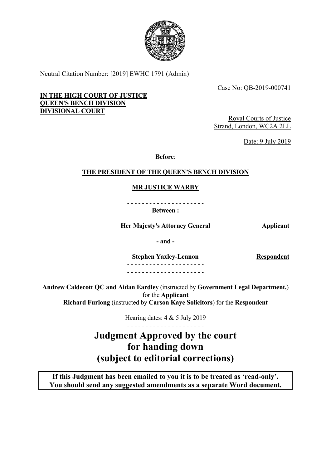

Neutral Citation Number: [2019] EWHC 1791 (Admin)

Case No: QB-2019-000741

# **IN THE HIGH COURT OF JUSTICE QUEEN'S BENCH DIVISION DIVISIONAL COURT**

Royal Courts of Justice Strand, London, WC2A 2LL

Date: 9 July 2019

**Before**:

# **THE PRESIDENT OF THE QUEEN'S BENCH DIVISION**

# **MR JUSTICE WARBY**

- - - - - - - - - - - - - - - - - - - - - **Between :** 

**Her Majesty's Attorney General Applicant Applicant** 

**- and -**

**Stephen Yaxley-Lennon**  - - - - - - - - - - - - - - - - - - - - -

**Respondent** 

- - - - - - - - - - - - - - - - - - - - -

**Andrew Caldecott QC and Aidan Eardley** (instructed by **Government Legal Department.**) for the **Applicant Richard Furlong** (instructed by **Carson Kaye Solicitors**) for the **Respondent** 

> - - - - - - - - - - - - - - - - - - - - - Hearing dates: 4 & 5 July 2019

**Judgment Approved by the court for handing down (subject to editorial corrections)** 

**If this Judgment has been emailed to you it is to be treated as 'read-only'. You should send any suggested amendments as a separate Word document.**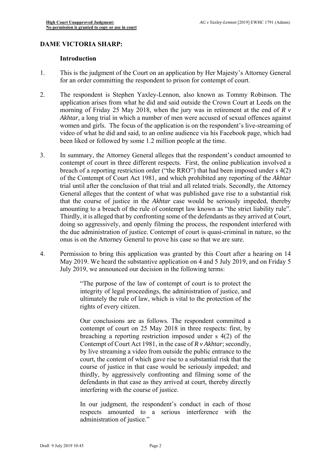# **DAME VICTORIA SHARP: Introduction**

- 1. This is the judgment of the Court on an application by Her Majesty's Attorney General for an order committing the respondent to prison for contempt of court.
- 2. The respondent is Stephen Yaxley-Lennon, also known as Tommy Robinson. The application arises from what he did and said outside the Crown Court at Leeds on the morning of Friday 25 May 2018, when the jury was in retirement at the end of *R v Akhtar,* a long trial in which a number of men were accused of sexual offences against women and girls. The focus of the application is on the respondent's live-streaming of video of what he did and said, to an online audience via his Facebook page, which had been liked or followed by some 1.2 million people at the time.
- General alleges that the content of what was published gave rise to a substantial risk amounting to a breach of the rule of contempt law known as "the strict liability rule". Thirdly, it is alleged that by confronting some of the defendants as they arrived at Court, 3. In summary, the Attorney General alleges that the respondent's conduct amounted to contempt of court in three different respects. First, the online publication involved a breach of a reporting restriction order ("the RRO") that had been imposed under s 4(2) of the Contempt of Court Act 1981, and which prohibited any reporting of the *Akhtar*  trial until after the conclusion of that trial and all related trials. Secondly, the Attorney that the course of justice in the *Akhtar* case would be seriously impeded, thereby doing so aggressively, and openly filming the process, the respondent interfered with the due administration of justice. Contempt of court is quasi-criminal in nature, so the onus is on the Attorney General to prove his case so that we are sure.
- 4. Permission to bring this application was granted by this Court after a hearing on 14 May 2019. We heard the substantive application on 4 and 5 July 2019, and on Friday 5 July 2019, we announced our decision in the following terms:

"The purpose of the law of contempt of court is to protect the integrity of legal proceedings, the administration of justice, and ultimately the rule of law, which is vital to the protection of the rights of every citizen.

 thirdly, by aggressively confronting and filming some of the Our conclusions are as follows. The respondent committed a contempt of court on 25 May 2018 in three respects: first, by breaching a reporting restriction imposed under s 4(2) of the Contempt of Court Act 1981, in the case of *R v Akhtar*; secondly, by live streaming a video from outside the public entrance to the court, the content of which gave rise to a substantial risk that the course of justice in that case would be seriously impeded; and defendants in that case as they arrived at court, thereby directly interfering with the course of justice.

In our judgment, the respondent's conduct in each of those respects amounted to a serious interference with the administration of justice."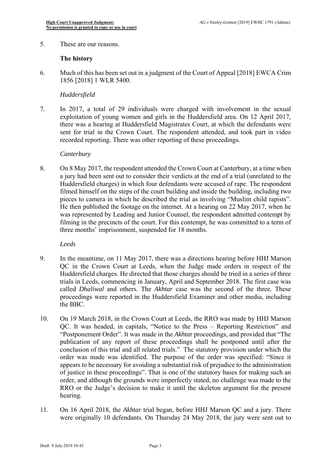5. These are our reasons.

# **The history**

6. Much of this has been set out in a judgment of the Court of Appeal [2018] EWCA Crim 1856 [2018] 1 WLR 5400.

# *Huddersfield*

7. In 2017, a total of 29 individuals were charged with involvement in the sexual exploitation of young women and girls in the Huddersfield area. On 12 April 2017, there was a hearing at Huddersfield Magistrates Court, at which the defendants were sent for trial in the Crown Court. The respondent attended, and took part in video recorded reporting. There was other reporting of these proceedings.

# *Canterbury*

 a jury had been sent out to consider their verdicts at the end of a trial (unrelated to the filming in the precincts of the court. For this contempt, he was committed to a term of 8. On 8 May 2017, the respondent attended the Crown Court at Canterbury, at a time when Huddersfield charges) in which four defendants were accused of rape. The respondent filmed himself on the steps of the court building and inside the building, including two pieces to camera in which he described the trial as involving "Muslim child rapists". He then published the footage on the internet. At a hearing on 22 May 2017, when he was represented by Leading and Junior Counsel, the respondent admitted contempt by three months' imprisonment, suspended for 18 months.

*Leeds* 

- Huddersfield charges. He directed that those charges should be tried in a series of three 9. In the meantime, on 11 May 2017, there was a directions hearing before HHJ Marson QC in the Crown Court at Leeds, when the Judge made orders in respect of the trials in Leeds, commencing in January, April and September 2018. The first case was called *Dhaliwal* and others. The *Akhtar* case was the second of the three. These proceedings were reported in the Huddersfield Examiner and other media, including the BBC.
- conclusion of this trial and all related trials." The statutory provision under which the 10. On 19 March 2018, in the Crown Court at Leeds, the RRO was made by HHJ Marson QC. It was headed, in capitals, "Notice to the Press – Reporting Restriction" and "Postponement Order". It was made in the *Akhta*r proceedings, and provided that "The publication of any report of these proceedings shall be postponed until after the order was made was identified. The purpose of the order was specified: "Since it appears to be necessary for avoiding a substantial risk of prejudice to the administration of justice in these proceedings". That is one of the statutory bases for making such an order, and although the grounds were imperfectly stated, no challenge was made to the RRO or the Judge's decision to make it until the skeleton argument for the present hearing.
- were originally 10 defendants. On Thursday 24 May 2018, the jury were sent out to 11. On 16 April 2018, the *Akhtar* trial began, before HHJ Marson QC and a jury. There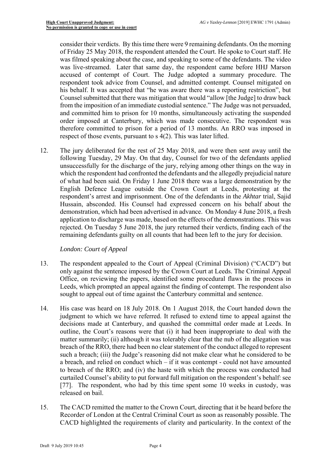his behalf. It was accepted that "he was aware there was a reporting restriction", but therefore committed to prison for a period of 13 months. An RRO was imposed in consider their verdicts. By this time there were 9 remaining defendants. On the morning of Friday 25 May 2018, the respondent attended the Court. He spoke to Court staff. He was filmed speaking about the case, and speaking to some of the defendants. The video was live-streamed. Later that same day, the respondent came before HHJ Marson accused of contempt of Court. The Judge adopted a summary procedure. The respondent took advice from Counsel, and admitted contempt. Counsel mitigated on Counsel submitted that there was mitigation that would "allow [the Judge] to draw back from the imposition of an immediate custodial sentence." The Judge was not persuaded, and committed him to prison for 10 months, simultaneously activating the suspended order imposed at Canterbury, which was made consecutive. The respondent was respect of those events, pursuant to s 4(2). This was later lifted.

 demonstration, which had been advertised in advance. On Monday 4 June 2018, a fresh 12. The jury deliberated for the rest of 25 May 2018, and were then sent away until the following Tuesday, 29 May. On that day, Counsel for two of the defendants applied unsuccessfully for the discharge of the jury, relying among other things on the way in which the respondent had confronted the defendants and the allegedly prejudicial nature of what had been said. On Friday 1 June 2018 there was a large demonstration by the English Defence League outside the Crown Court at Leeds, protesting at the respondent's arrest and imprisonment. One of the defendants in the *Akhtar* trial, Sajid Hussain, absconded. His Counsel had expressed concern on his behalf about the application to discharge was made, based on the effects of the demonstrations. This was rejected. On Tuesday 5 June 2018, the jury returned their verdicts, finding each of the remaining defendants guilty on all counts that had been left to the jury for decision.

# *London: Court of Appeal*

- Office, on reviewing the papers, identified some procedural flaws in the process in 13. The respondent appealed to the Court of Appeal (Criminal Division) ("CACD") but only against the sentence imposed by the Crown Court at Leeds. The Criminal Appeal Leeds, which prompted an appeal against the finding of contempt. The respondent also sought to appeal out of time against the Canterbury committal and sentence.
- to breach of the RRO; and (iv) the haste with which the process was conducted had 14. His case was heard on 18 July 2018. On 1 August 2018, the Court handed down the judgment to which we have referred. It refused to extend time to appeal against the decisions made at Canterbury, and quashed the committal order made at Leeds. In outline, the Court's reasons were that (i) it had been inappropriate to deal with the matter summarily; (ii) although it was tolerably clear that the nub of the allegation was breach of the RRO, there had been no clear statement of the conduct alleged to represent such a breach; (iii) the Judge's reasoning did not make clear what he considered to be a breach, and relied on conduct which – if it was contempt - could not have amounted curtailed Counsel's ability to put forward full mitigation on the respondent's behalf: see [77]. The respondent, who had by this time spent some 10 weeks in custody, was released on bail.
- 15. The CACD remitted the matter to the Crown Court, directing that it be heard before the CACD highlighted the requirements of clarity and particularity. In the context of the Recorder of London at the Central Criminal Court as soon as reasonably possible. The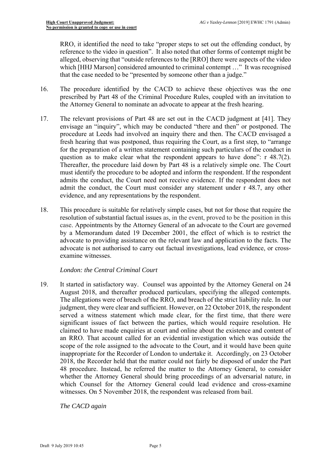RRO, it identified the need to take "proper steps to set out the offending conduct, by alleged, observing that "outside references to the [RRO] there were aspects of the video reference to the video in question". It also noted that other forms of contempt might be which [HHJ Marson] considered amounted to criminal contempt ..." It was recognised that the case needed to be "presented by someone other than a judge."

- prescribed by Part 48 of the Criminal Procedure Rules, coupled with an invitation to 16. The procedure identified by the CACD to achieve these objectives was the one the Attorney General to nominate an advocate to appear at the fresh hearing.
- 17. The relevant provisions of Part 48 are set out in the CACD judgment at [41]. They envisage an "inquiry", which may be conducted "there and then" or postponed. The procedure at Leeds had involved an inquiry there and then. The CACD envisaged a fresh hearing that was postponed, thus requiring the Court, as a first step, to "arrange for the preparation of a written statement containing such particulars of the conduct in question as to make clear what the respondent appears to have done": r 48.7(2). Thereafter, the procedure laid down by Part 48 is a relatively simple one. The Court must identify the procedure to be adopted and inform the respondent. If the respondent admits the conduct, the Court need not receive evidence. If the respondent does not admit the conduct, the Court must consider any statement under r 48.7, any other evidence, and any representations by the respondent.
- 18. This procedure is suitable for relatively simple cases, but not for those that require the resolution of substantial factual issues as, in the event, proved to be the position in this case. Appointments by the Attorney General of an advocate to the Court are governed by a Memorandum dated 19 December 2001, the effect of which is to restrict the advocate to providing assistance on the relevant law and application to the facts. The advocate is not authorised to carry out factual investigations, lead evidence, or crossexamine witnesses.

# *London: the Central Criminal Court*

 whether the Attorney General should bring proceedings of an adversarial nature, in 19. It started in satisfactory way. Counsel was appointed by the Attorney General on 24 August 2018, and thereafter produced particulars, specifying the alleged contempts. The allegations were of breach of the RRO, and breach of the strict liability rule. In our judgment, they were clear and sufficient. However, on 22 October 2018, the respondent served a witness statement which made clear, for the first time, that there were significant issues of fact between the parties, which would require resolution. He claimed to have made enquiries at court and online about the existence and content of an RRO. That account called for an evidential investigation which was outside the scope of the role assigned to the advocate to the Court, and it would have been quite inappropriate for the Recorder of London to undertake it. Accordingly, on 23 October 2018, the Recorder held that the matter could not fairly be disposed of under the Part 48 procedure. Instead, he referred the matter to the Attorney General, to consider which Counsel for the Attorney General could lead evidence and cross-examine witnesses. On 5 November 2018, the respondent was released from bail.

*The CACD again*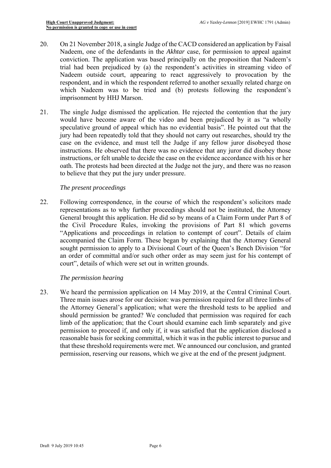- 20. On 21 November 2018, a single Judge of the CACD considered an application by Faisal Nadeem, one of the defendants in the *Akhtar* case, for permission to appeal against conviction. The application was based principally on the proposition that Nadeem's trial had been prejudiced by (a) the respondent's activities in streaming video of Nadeem outside court, appearing to react aggressively to provocation by the respondent, and in which the respondent referred to another sexually related charge on which Nadeem was to be tried and (b) protests following the respondent's imprisonment by HHJ Marson.
- instructions, or felt unable to decide the case on the evidence accordance with his or her 21. The single Judge dismissed the application. He rejected the contention that the jury would have become aware of the video and been prejudiced by it as "a wholly speculative ground of appeal which has no evidential basis". He pointed out that the jury had been repeatedly told that they should not carry out researches, should try the case on the evidence, and must tell the Judge if any fellow juror disobeyed those instructions. He observed that there was no evidence that any juror did disobey those oath. The protests had been directed at the Judge not the jury, and there was no reason to believe that they put the jury under pressure.

#### *The present proceedings*

 representations as to why further proceedings should not be instituted, the Attorney "Applications and proceedings in relation to contempt of court". Details of claim 22. Following correspondence, in the course of which the respondent's solicitors made General brought this application. He did so by means of a Claim Form under Part 8 of the Civil Procedure Rules, invoking the provisions of Part 81 which governs accompanied the Claim Form. These began by explaining that the Attorney General sought permission to apply to a Divisional Court of the Queen's Bench Division "for an order of committal and/or such other order as may seem just for his contempt of court", details of which were set out in written grounds.

# *The permission hearing*

 the Attorney General's application; what were the threshold tests to be applied and should permission be granted? We concluded that permission was required for each 23. We heard the permission application on 14 May 2019, at the Central Criminal Court. Three main issues arose for our decision: was permission required for all three limbs of limb of the application; that the Court should examine each limb separately and give permission to proceed if, and only if, it was satisfied that the application disclosed a reasonable basis for seeking committal, which it was in the public interest to pursue and that these threshold requirements were met. We announced our conclusion, and granted permission, reserving our reasons, which we give at the end of the present judgment.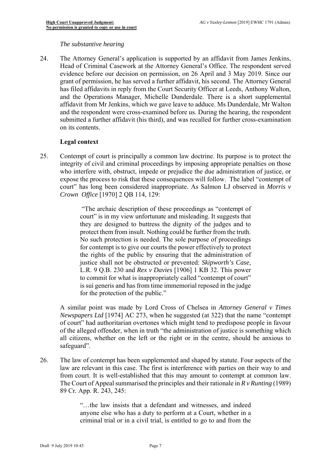#### *The substantive hearing*

24. The Attorney General's application is supported by an affidavit from James Jenkins, Head of Criminal Casework at the Attorney General's Office. The respondent served evidence before our decision on permission, on 26 April and 3 May 2019. Since our grant of permission, he has served a further affidavit, his second. The Attorney General has filed affidavits in reply from the Court Security Officer at Leeds, Anthony Walton, and the Operations Manager, Michelle Dunderdale. There is a short supplemental affidavit from Mr Jenkins, which we gave leave to adduce. Ms Dunderdale, Mr Walton and the respondent were cross-examined before us. During the hearing, the respondent submitted a further affidavit (his third), and was recalled for further cross-examination on its contents.

# **Legal context**

25. Contempt of court is principally a common law doctrine. Its purpose is to protect the who interfere with, obstruct, impede or prejudice the due administration of justice, or integrity of civil and criminal proceedings by imposing appropriate penalties on those expose the process to risk that these consequences will follow. The label "contempt of court" has long been considered inappropriate. As Salmon LJ observed in *Morris v Crown Office* [1970] 2 QB 114, 129:

> protect them from insult. Nothing could be further from the truth. is sui generis and has from time immemorial reposed in the judge "The archaic description of these proceedings as "contempt of court" is in my view unfortunate and misleading. It suggests that they are designed to buttress the dignity of the judges and to No such protection is needed. The sole purpose of proceedings for contempt is to give our courts the power effectively to protect the rights of the public by ensuring that the administration of justice shall not be obstructed or prevented: *Skipworth's Case,*  L.R. 9 Q.B. 230 and *Rex v Davies* [1906] 1 KB 32. This power to commit for what is inappropriately called "contempt of court" for the protection of the public."

 A similar point was made by Lord Cross of Chelsea in *Attorney General v Times*  all citizens, whether on the left or the right or in the centre, should be anxious to *Newspapers Ltd* [1974] AC 273, when he suggested (at 322) that the name "contempt of court" had authoritarian overtones which might tend to predispose people in favour of the alleged offender, when in truth "the administration of justice is something which safeguard".

 law are relevant in this case. The first is interference with parties on their way to and 26. The law of contempt has been supplemented and shaped by statute. Four aspects of the from court. It is well-established that this may amount to contempt at common law. The Court of Appeal summarised the principles and their rationale in *R v Runting* (1989) 89 Cr. App. R. 243, 245:

> "…the law insists that a defendant and witnesses, and indeed criminal trial or in a civil trial, is entitled to go to and from the anyone else who has a duty to perform at a Court, whether in a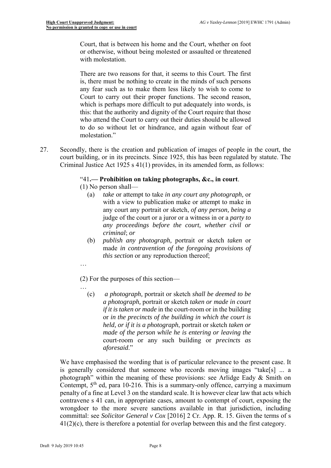Court, that is between his home and the Court, whether on foot or otherwise, without being molested or assaulted or threatened with molestation.

There are two reasons for that, it seems to this Court. The first is, there must be nothing to create in the minds of such persons any fear such as to make them less likely to wish to come to Court to carry out their proper functions. The second reason, which is perhaps more difficult to put adequately into words, is this: that the authority and dignity of the Court require that those who attend the Court to carry out their duties should be allowed to do so without let or hindrance, and again without fear of molestation."

27. Secondly, there is the creation and publication of images of people in the court, the court building, or in its precincts. Since 1925, this has been regulated by statute. The Criminal Justice Act 1925 s 41(1) provides, in its amended form, as follows:

# "41**.— Prohibition on taking photographs, &c., in court**.

- (1) No person shall—
	- (a) *take* or attempt to take *in any court any photograph,* or with a view to publication make or attempt to make in any court any portrait or sketch, *of any person, being a*  judge of the court or a juror or a witness in or a *party to any proceedings before the court, whether civil or criminal*; *or*
	- (b) *publish any photograph,* portrait or sketch *taken* or made *in contravention of the foregoing provisions of this section* or any reproduction thereof;
- …

…

(2) For the purposes of this section—

 *if it is taken or made* in the court-room or in the building (c) *a photograph,* portrait or sketch *shall be deemed to be a photograph,* portrait or sketch *taken or made in court*  or *in the precincts of the building in which the court is held, or if it is a photograph*, portrait or sketch *taken or made of the person while he is entering or leaving the*  court-room or any such building or *precincts as aforesaid*."

 penalty of a fine at Level 3 on the standard scale. It is however clear law that acts which We have emphasised the wording that is of particular relevance to the present case. It is generally considered that someone who records moving images "take[s] ... a photograph" within the meaning of these provisions: see Arlidge Eady & Smith on Contempt,  $5<sup>th</sup>$  ed, para 10-216. This is a summary-only offence, carrying a maximum contravene s 41 can, in appropriate cases, amount to contempt of court, exposing the wrongdoer to the more severe sanctions available in that jurisdiction, including committal: see *Solicitor General v Cox* [2016] 2 Cr. App. R. 15. Given the terms of s  $41(2)(c)$ , there is therefore a potential for overlap between this and the first category.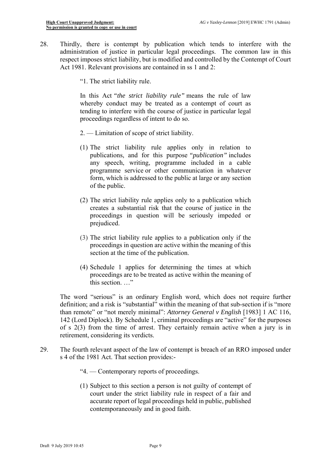- 28. Thirdly, there is contempt by publication which tends to interfere with the administration of justice in particular legal proceedings. The common law in this respect imposes strict liability, but is modified and controlled by the Contempt of Court Act 1981. Relevant provisions are contained in ss 1 and 2:
	- "1. The strict liability rule.

 tending to interfere with the course of justice in particular legal In this Act *"the strict liability rule"* means the rule of law whereby conduct may be treated as a contempt of court as proceedings regardless of intent to do so.

- 2. Limitation of scope of strict liability.
- (1) The strict liability rule applies only in relation to publications, and for this purpose *"publication"* includes any speech, writing, programme included in a cable programme service or other communication in whatever form, which is addressed to the public at large or any section of the public.
- (2) The strict liability rule applies only to a publication which creates a substantial risk that the course of justice in the proceedings in question will be seriously impeded or prejudiced.
- (3) The strict liability rule applies to a publication only if the proceedings in question are active within the meaning of this section at the time of the publication.
- proceedings are to be treated as active within the meaning of (4) Schedule 1 applies for determining the times at which this section. …"

 definition; and a risk is "substantial" within the meaning of that sub-section if is "more 142 (Lord Diplock). By Schedule 1, criminal proceedings are "active" for the purposes of s 2(3) from the time of arrest. They certainly remain active when a jury is in The word "serious" is an ordinary English word, which does not require further than remote" or "not merely minimal": *Attorney General v English* [1983] 1 AC 116, retirement, considering its verdicts.

- 29. The fourth relevant aspect of the law of contempt is breach of an RRO imposed under s 4 of the 1981 Act. That section provides:-
	- "4. Contemporary reports of proceedings.
	- (1) Subject to this section a person is not guilty of contempt of court under the strict liability rule in respect of a fair and accurate report of legal proceedings held in public, published contemporaneously and in good faith.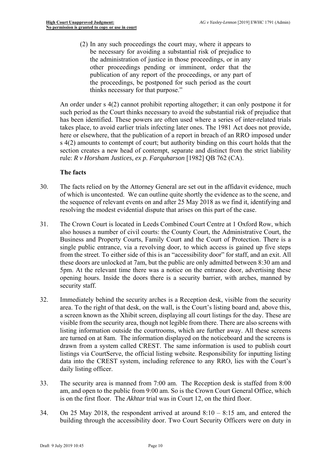(2) In any such proceedings the court may, where it appears to be necessary for avoiding a substantial risk of prejudice to the administration of justice in those proceedings, or in any other proceedings pending or imminent, order that the publication of any report of the proceedings, or any part of the proceedings, be postponed for such period as the court thinks necessary for that purpose."

 has been identified. These powers are often used where a series of inter-related trials takes place, to avoid earlier trials infecting later ones. The 1981 Act does not provide, An order under s 4(2) cannot prohibit reporting altogether; it can only postpone it for such period as the Court thinks necessary to avoid the substantial risk of prejudice that here or elsewhere, that the publication of a report in breach of an RRO imposed under s 4(2) amounts to contempt of court; but authority binding on this court holds that the section creates a new head of contempt, separate and distinct from the strict liability rule: *R v Horsham Justices, ex p. Farquharson* [1982] QB 762 (CA).

# **The facts**

- of which is uncontested. We can outline quite shortly the evidence as to the scene, and 30. The facts relied on by the Attorney General are set out in the affidavit evidence, much the sequence of relevant events on and after 25 May 2018 as we find it, identifying and resolving the modest evidential dispute that arises on this part of the case.
- 31. The Crown Court is located in Leeds Combined Court Centre at 1 Oxford Row, which from the street. To either side of this is an "accessibility door" for staff, and an exit. All these doors are unlocked at 7am, but the public are only admitted between 8:30 am and also houses a number of civil courts: the County Court, the Administrative Court, the Business and Property Courts, Family Court and the Court of Protection. There is a single public entrance, via a revolving door, to which access is gained up five steps 5pm. At the relevant time there was a notice on the entrance door, advertising these opening hours. Inside the doors there is a security barrier, with arches, manned by security staff.
- drawn from a system called CREST. The same information is used to publish court listings via CourtServe, the official listing website. Responsibility for inputting listing 32. Immediately behind the security arches is a Reception desk, visible from the security area. To the right of that desk, on the wall, is the Court's listing board and, above this, a screen known as the Xhibit screen, displaying all court listings for the day. These are visible from the security area, though not legible from there. There are also screens with listing information outside the courtrooms, which are further away. All these screens are turned on at 8am. The information displayed on the noticeboard and the screens is data into the CREST system, including reference to any RRO, lies with the Court's daily listing officer.
- 33. The security area is manned from 7:00 am. The Reception desk is staffed from 8:00 am, and open to the public from 9:00 am. So is the Crown Court General Office, which is on the first floor. The *Akhtar* trial was in Court 12, on the third floor.
- 34. On 25 May 2018, the respondent arrived at around  $8:10 8:15$  am, and entered the building through the accessibility door. Two Court Security Officers were on duty in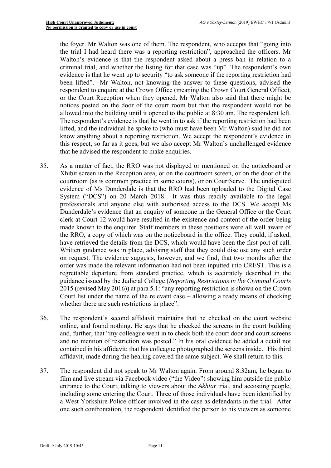Walton's evidence is that the respondent asked about a press ban in relation to a allowed into the building until it opened to the public at 8:30 am. The respondent left. the foyer. Mr Walton was one of them. The respondent, who accepts that "going into the trial I had heard there was a reporting restriction", approached the officers. Mr criminal trial, and whether the listing for that case was "up". The respondent's own evidence is that he went up to security "to ask someone if the reporting restriction had been lifted". Mr Walton, not knowing the answer to these questions, advised the respondent to enquire at the Crown Office (meaning the Crown Court General Office), or the Court Reception when they opened. Mr Walton also said that there might be notices posted on the door of the court room but that the respondent would not be The respondent's evidence is that he went in to ask if the reporting restriction had been lifted, and the individual he spoke to (who must have been Mr Walton) said he did not know anything about a reporting restriction. We accept the respondent's evidence in this respect, so far as it goes, but we also accept Mr Walton's unchallenged evidence that he advised the respondent to make enquiries.

- have retrieved the details from the DCS, which would have been the first port of call. regrettable departure from standard practice, which is accurately described in the 35. As a matter of fact, the RRO was not displayed or mentioned on the noticeboard or Xhibit screen in the Reception area, or on the courtroom screen, or on the door of the courtroom (as is common practice in some courts), or on CourtServe. The undisputed evidence of Ms Dunderdale is that the RRO had been uploaded to the Digital Case System ("DCS") on 20 March 2018. It was thus readily available to the legal professionals and anyone else with authorised access to the DCS. We accept Ms Dunderdale's evidence that an enquiry of someone in the General Office or the Court clerk at Court 12 would have resulted in the existence and content of the order being made known to the enquirer. Staff members in these positions were all well aware of the RRO, a copy of which was on the noticeboard in the office. They could, if asked, Written guidance was in place, advising staff that they could disclose any such order on request. The evidence suggests, however, and we find, that two months after the order was made the relevant information had not been inputted into CREST. This is a guidance issued by the Judicial College (*Reporting Restrictions in the Criminal Courts*  2015 (revised May 2016)) at para 5.1: "any reporting restriction is shown on the Crown Court list under the name of the relevant case – allowing a ready means of checking whether there are such restrictions in place".
- contained in his affidavit: that his colleague photographed the screens inside. His third 36. The respondent's second affidavit maintains that he checked on the court website online, and found nothing. He says that he checked the screens in the court building and, further, that "my colleague went in to check both the court door and court screens and no mention of restriction was posted." In his oral evidence he added a detail not affidavit, made during the hearing covered the same subject. We shall return to this.
- 37. The respondent did not speak to Mr Walton again. From around 8:32am, he began to one such confrontation, the respondent identified the person to his viewers as someone film and live stream via Facebook video ("the Video") showing him outside the public entrance to the Court, talking to viewers about the *Akhtar* trial, and accosting people, including some entering the Court. Three of those individuals have been identified by a West Yorkshire Police officer involved in the case as defendants in the trial. After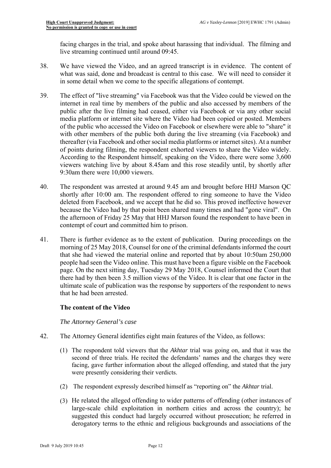facing charges in the trial, and spoke about harassing that individual. The filming and live streaming continued until around 09:45.

- 38. We have viewed the Video, and an agreed transcript is in evidence. The content of what was said, done and broadcast is central to this case. We will need to consider it in some detail when we come to the specific allegations of contempt.
- viewers watching live by about 8.45am and this rose steadily until, by shortly after 39. The effect of "live streaming" via Facebook was that the Video could be viewed on the internet in real time by members of the public and also accessed by members of the public after the live filming had ceased, either via Facebook or via any other social media platform or internet site where the Video had been copied or posted. Members of the public who accessed the Video on Facebook or elsewhere were able to "share" it with other members of the public both during the live streaming (via Facebook) and thereafter (via Facebook and other social media platforms or internet sites). At a number of points during filming, the respondent exhorted viewers to share the Video widely. According to the Respondent himself, speaking on the Video, there were some 3,600 9:30am there were 10,000 viewers.
- 40. The respondent was arrested at around 9.45 am and brought before HHJ Marson QC shortly after 10:00 am. The respondent offered to ring someone to have the Video deleted from Facebook, and we accept that he did so. This proved ineffective however because the Video had by that point been shared many times and had "gone viral". On the afternoon of Friday 25 May that HHJ Marson found the respondent to have been in contempt of court and committed him to prison.
- 41. There is further evidence as to the extent of publication. During proceedings on the morning of 25 May 2018, Counsel for one of the criminal defendants informed the court that she had viewed the material online and reported that by about 10:50am 250,000 people had seen the Video online. This must have been a figure visible on the Facebook page. On the next sitting day, Tuesday 29 May 2018, Counsel informed the Court that there had by then been 3.5 million views of the Video. It is clear that one factor in the ultimate scale of publication was the response by supporters of the respondent to news that he had been arrested.

# **The content of the Video**

# *The Attorney General's case*

- 42. The Attorney General identifies eight main features of the Video, as follows:
	- (1) The respondent told viewers that the *Akhtar* trial was going on, and that it was the second of three trials. He recited the defendants' names and the charges they were facing, gave further information about the alleged offending, and stated that the jury were presently considering their verdicts.
	- (2) The respondent expressly described himself as "reporting on" the *Akhtar* trial.
	- (3) He related the alleged offending to wider patterns of offending (other instances of large-scale child exploitation in northern cities and across the country); he suggested this conduct had largely occurred without prosecution; he referred in derogatory terms to the ethnic and religious backgrounds and associations of the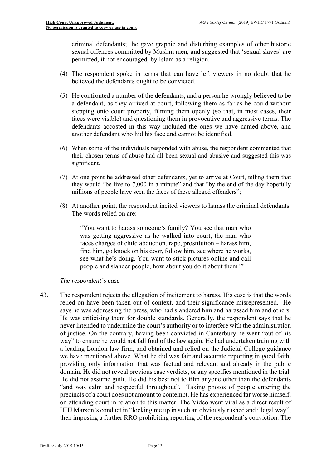criminal defendants; he gave graphic and disturbing examples of other historic sexual offences committed by Muslim men; and suggested that 'sexual slaves' are permitted, if not encouraged, by Islam as a religion.

- (4) The respondent spoke in terms that can have left viewers in no doubt that he believed the defendants ought to be convicted.
- (5) He confronted a number of the defendants, and a person he wrongly believed to be a defendant, as they arrived at court, following them as far as he could without stepping onto court property, filming them openly (so that, in most cases, their faces were visible) and questioning them in provocative and aggressive terms. The defendants accosted in this way included the ones we have named above, and another defendant who hid his face and cannot be identified.
- (6) When some of the individuals responded with abuse, the respondent commented that their chosen terms of abuse had all been sexual and abusive and suggested this was significant.
- (7) At one point he addressed other defendants, yet to arrive at Court, telling them that they would "be live to 7,000 in a minute" and that "by the end of the day hopefully millions of people have seen the faces of these alleged offenders";
- (8) At another point, the respondent incited viewers to harass the criminal defendants. The words relied on are:-

"You want to harass someone's family? You see that man who was getting aggressive as he walked into court, the man who faces charges of child abduction, rape, prostitution – harass him, find him, go knock on his door, follow him, see where he works, see what he's doing. You want to stick pictures online and call people and slander people, how about you do it about them?"

#### *The respondent's case*

 relied on have been taken out of context, and their significance misrepresented. He on attending court in relation to this matter. The Video went viral as a direct result of 43. The respondent rejects the allegation of incitement to harass. His case is that the words says he was addressing the press, who had slandered him and harassed him and others. He was criticising them for double standards. Generally, the respondent says that he never intended to undermine the court's authority or to interfere with the administration of justice. On the contrary, having been convicted in Canterbury he went "out of his way" to ensure he would not fall foul of the law again. He had undertaken training with a leading London law firm, and obtained and relied on the Judicial College guidance we have mentioned above. What he did was fair and accurate reporting in good faith, providing only information that was factual and relevant and already in the public domain. He did not reveal previous case verdicts, or any specifics mentioned in the trial. He did not assume guilt. He did his best not to film anyone other than the defendants "and was calm and respectful throughout". Taking photos of people entering the precincts of a court does not amount to contempt. He has experienced far worse himself, HHJ Marson's conduct in "locking me up in such an obviously rushed and illegal way", then imposing a further RRO prohibiting reporting of the respondent's conviction. The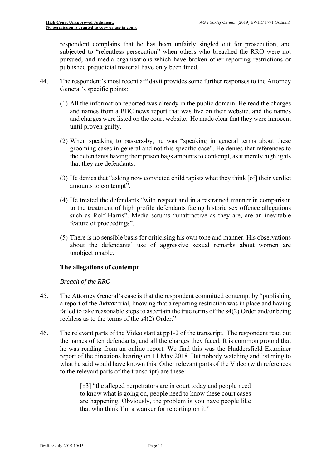respondent complains that he has been unfairly singled out for prosecution, and subjected to "relentless persecution" when others who breached the RRO were not pursued, and media organisations which have broken other reporting restrictions or published prejudicial material have only been fined.

- 44. The respondent's most recent affidavit provides some further responses to the Attorney General's specific points:
	- (1) All the information reported was already in the public domain. He read the charges and names from a BBC news report that was live on their website, and the names and charges were listed on the court website. He made clear that they were innocent until proven guilty.
	- (2) When speaking to passers-by, he was "speaking in general terms about these grooming cases in general and not this specific case". He denies that references to the defendants having their prison bags amounts to contempt, as it merely highlights that they are defendants.
	- (3) He denies that "asking now convicted child rapists what they think [of] their verdict amounts to contempt".
	- (4) He treated the defendants "with respect and in a restrained manner in comparison to the treatment of high profile defendants facing historic sex offence allegations such as Rolf Harris". Media scrums "unattractive as they are, are an inevitable feature of proceedings".
	- about the defendants' use of aggressive sexual remarks about women are (5) There is no sensible basis for criticising his own tone and manner. His observations unobjectionable.

# **The allegations of contempt**

# *Breach of the RRO*

- failed to take reasonable steps to ascertain the true terms of the s4(2) Order and/or being 45. The Attorney General's case is that the respondent committed contempt by "publishing a report of the *Akhtar* trial, knowing that a reporting restriction was in place and having reckless as to the terms of the s4(2) Order."
- the names of ten defendants, and all the charges they faced. It is common ground that 46. The relevant parts of the Video start at pp1-2 of the transcript. The respondent read out he was reading from an online report. We find this was the Huddersfield Examiner report of the directions hearing on 11 May 2018. But nobody watching and listening to what he said would have known this. Other relevant parts of the Video (with references to the relevant parts of the transcript) are these:

[p3] "the alleged perpetrators are in court today and people need to know what is going on, people need to know these court cases are happening. Obviously, the problem is you have people like that who think I'm a wanker for reporting on it."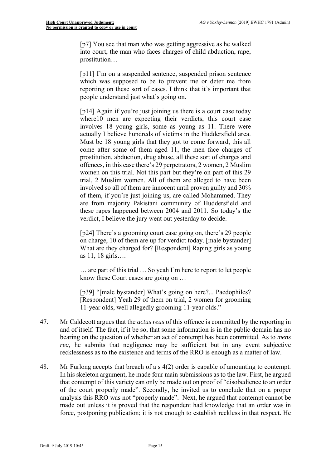[p7] You see that man who was getting aggressive as he walked into court, the man who faces charges of child abduction, rape, prostitution…

[p11] I'm on a suspended sentence, suspended prison sentence which was supposed to be to prevent me or deter me from reporting on these sort of cases. I think that it's important that people understand just what's going on.

 trial, 2 Muslim women. All of them are alleged to have been involved so all of them are innocent until proven guilty and 30% [p14] Again if you're just joining us there is a court case today where10 men are expecting their verdicts, this court case involves 18 young girls, some as young as 11. There were actually I believe hundreds of victims in the Huddersfield area. Must be 18 young girls that they got to come forward, this all come after some of them aged 11, the men face charges of prostitution, abduction, drug abuse, all these sort of charges and offences, in this case there's 29 perpetrators, 2 women, 2 Muslim women on this trial. Not this part but they're on part of this 29 of them, if you're just joining us, are called Mohammed. They are from majority Pakistani community of Huddersfield and these rapes happened between 2004 and 2011. So today's the verdict, I believe the jury went out yesterday to decide.

[p24] There's a grooming court case going on, there's 29 people on charge, 10 of them are up for verdict today. [male bystander] What are they charged for? [Respondent] Raping girls as young as 11, 18 girls….

… are part of this trial … So yeah I'm here to report to let people know these Court cases are going on …

 [Respondent] Yeah 29 of them on trial, 2 women for grooming [p39] "[male bystander] What's going on here?... Paedophiles? 11-year olds, well allegedly grooming 11-year olds."

- 47. Mr Caldecott argues that the *actus reus* of this offence is committed by the reporting in and of itself. The fact, if it be so, that some information is in the public domain has no bearing on the question of whether an act of contempt has been committed. As to *mens rea*, he submits that negligence may be sufficient but in any event subjective recklessness as to the existence and terms of the RRO is enough as a matter of law.
- analysis this RRO was not "properly made". Next, he argued that contempt cannot be 48. Mr Furlong accepts that breach of a s  $4(2)$  order is capable of amounting to contempt. In his skeleton argument, he made four main submissions as to the law. First, he argued that contempt of this variety can only be made out on proof of "disobedience to an order of the court properly made". Secondly, he invited us to conclude that on a proper made out unless it is proved that the respondent had knowledge that an order was in force, postponing publication; it is not enough to establish reckless in that respect. He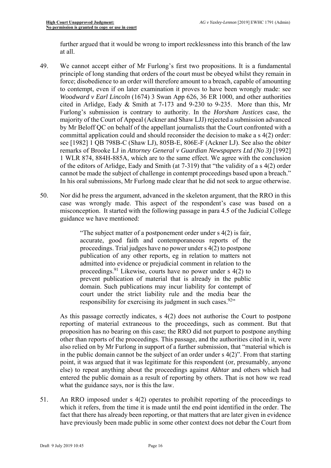further argued that it would be wrong to import recklessness into this branch of the law at all.

- 49. We cannot accept either of Mr Furlong's first two propositions. It is a fundamental by Mr Beloff QC on behalf of the appellant journalists that the Court confronted with a of the editors of Arlidge, Eady and Smith (at 7-319) that "the validity of a s 4(2) order principle of long standing that orders of the court must be obeyed whilst they remain in force; disobedience to an order will therefore amount to a breach, capable of amounting to contempt, even if on later examination it proves to have been wrongly made: see *Woodward v Earl Lincoln* (1674) 3 Swan App 626, 36 ER 1000, and other authorities cited in Arlidge, Eady & Smith at 7-173 and 9-230 to 9-235. More than this, Mr Furlong's submission is contrary to authority. In the *Horsham Justices* case, the majority of the Court of Appeal (Ackner and Shaw LJJ) rejected a submission advanced committal application could and should reconsider the decision to make a s 4(2) order: see [1982] 1 QB 798B-C (Shaw LJ), 805B-E, 806E-F (Ackner LJ). See also the *obiter*  remarks of Brooke LJ in *Attorney General v Guardian Newspapers Ltd (No 3)* [1992] 1 WLR 874, 884H-885A, which are to the same effect. We agree with the conclusion cannot be made the subject of challenge in contempt proceedings based upon a breach." In his oral submissions, Mr Furlong made clear that he did not seek to argue otherwise.
- 50. Nor did he press the argument, advanced in the skeleton argument, that the RRO in this case was wrongly made. This aspect of the respondent's case was based on a misconception. It started with the following passage in para 4.5 of the Judicial College guidance we have mentioned:

 publication of any other reports, eg in relation to matters not prevent publication of material that is already in the public "The subject matter of a postponement order under s 4(2) is fair, accurate, good faith and contemporaneous reports of the proceedings. Trial judges have no power under s 4(2) to postpone admitted into evidence or prejudicial comment in relation to the proceedings.91 Likewise, courts have no power under s 4(2) to domain. Such publications may incur liability for contempt of court under the strict liability rule and the media bear the responsibility for exercising its judgment in such cases.  $92$ .

 also relied on by Mr Furlong in support of a further submission, that "material which is in the public domain cannot be the subject of an order under  $s(2)$ ". From that starting As this passage correctly indicates, s 4(2) does not authorise the Court to postpone reporting of material extraneous to the proceedings, such as comment. But that proposition has no bearing on this case; the RRO did not purport to postpone anything other than reports of the proceedings. This passage, and the authorities cited in it, were point, it was argued that it was legitimate for this respondent (or, presumably, anyone else) to repeat anything about the proceedings against *Akhtar* and others which had entered the public domain as a result of reporting by others. That is not how we read what the guidance says, nor is this the law.

 which it refers, from the time it is made until the end point identified in the order. The have previously been made public in some other context does not debar the Court from 51. An RRO imposed under s 4(2) operates to prohibit reporting of the proceedings to fact that there has already been reporting, or that matters that are later given in evidence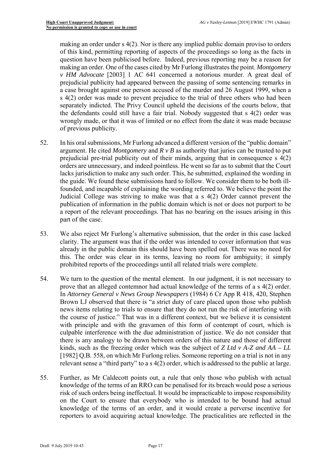of this kind, permitting reporting of aspects of the proceedings so long as the facts in prejudicial publicity had appeared between the passing of some sentencing remarks in the defendants could still have a fair trial. Nobody suggested that s 4(2) order was making an order under s 4(2). Nor is there any implied public domain proviso to orders question have been publicised before. Indeed, previous reporting may be a reason for making an order. One of the cases cited by Mr Furlong illustrates the point. *Montgomery v HM Advocate* [2003] 1 AC 641 concerned a notorious murder. A great deal of a case brought against one person accused of the murder and 26 August 1999, when a s 4(2) order was made to prevent prejudice to the trial of three others who had been separately indicted. The Privy Council upheld the decisions of the courts below, that wrongly made, or that it was of limited or no effect from the date it was made because of previous publicity.

- Judicial College was striving to make was that a s 4(2) Order cannot prevent the a report of the relevant proceedings. That has no bearing on the issues arising in this 52. In his oral submissions, Mr Furlong advanced a different version of the "public domain" argument. He cited *Montgomery* and *R v B* as authority that juries can be trusted to put prejudicial pre-trial publicity out of their minds, arguing that in consequence s 4(2) orders are unnecessary, and indeed pointless. He went so far as to submit that the Court lacks jurisdiction to make any such order. This, he submitted, explained the wording in the guide. We found these submissions hard to follow. We consider them to be both illfounded, and incapable of explaining the wording referred to. We believe the point the publication of information in the public domain which is not or does not purport to be part of the case.
- 53. We also reject Mr Furlong's alternative submission, that the order in this case lacked clarity. The argument was that if the order was intended to cover information that was already in the public domain this should have been spelled out. There was no need for this. The order was clear in its terms, leaving no room for ambiguity; it simply prohibited reports of the proceedings until all related trials were complete.
- In *Attorney General v News Group Newspapers* (1984) 6 Cr App R 418, 420, Stephen culpable interference with the due administration of justice. We do not consider that [1982] Q.B. 558*,* on which Mr Furlong relies. Someone reporting on a trial is not in any relevant sense a "third party" to a s 4(2) order, which is addressed to the public at large. 54. We turn to the question of the mental element. In our judgment, it is not necessary to prove that an alleged contemnor had actual knowledge of the terms of a s 4(2) order. Brown LJ observed that there is "a strict duty of care placed upon those who publish news items relating to trials to ensure that they do not run the risk of interfering with the course of justice." That was in a different context, but we believe it is consistent with principle and with the gravamen of this form of contempt of court, which is there is any analogy to be drawn between orders of this nature and those of different kinds, such as the freezing order which was the subject of *Z Ltd v A-Z and AA – LL*
- 55. Further, as Mr Caldecott points out, a rule that only those who publish with actual knowledge of the terms of an RRO can be penalised for its breach would pose a serious risk of such orders being ineffectual. It would be impracticable to impose responsibility on the Court to ensure that everybody who is intended to be bound had actual knowledge of the terms of an order, and it would create a perverse incentive for reporters to avoid acquiring actual knowledge. The practicalities are reflected in the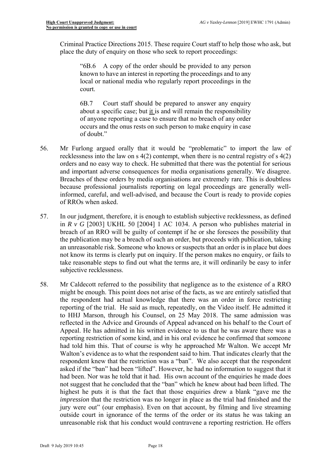Criminal Practice Directions 2015. These require Court staff to help those who ask, but place the duty of enquiry on those who seek to report proceedings:

"6B.6 A copy of the order should be provided to any person known to have an interest in reporting the proceedings and to any local or national media who regularly report proceedings in the court.

6B.7 Court staff should be prepared to answer any enquiry about a specific case; but it is and will remain the responsibility of anyone reporting a case to ensure that no breach of any order occurs and the onus rests on such person to make enquiry in case of doubt."

- and important adverse consequences for media organisations generally. We disagree. 56. Mr Furlong argued orally that it would be "problematic" to import the law of recklessness into the law on s 4(2) contempt, when there is no central registry of s 4(2) orders and no easy way to check. He submitted that there was the potential for serious Breaches of these orders by media organisations are extremely rare. This is doubtless because professional journalists reporting on legal proceedings are generally wellinformed, careful, and well-advised, and because the Court is ready to provide copies of RROs when asked.
- in *R v G* [2003] UKHL 50 [2004] 1 AC 1034. A person who publishes material in 57. In our judgment, therefore, it is enough to establish subjective recklessness, as defined breach of an RRO will be guilty of contempt if he or she foresees the possibility that the publication may be a breach of such an order, but proceeds with publication, taking an unreasonable risk. Someone who knows or suspects that an order is in place but does not know its terms is clearly put on inquiry. If the person makes no enquiry, or fails to take reasonable steps to find out what the terms are, it will ordinarily be easy to infer subjective recklessness.
- 58. Mr Caldecott referred to the possibility that negligence as to the existence of a RRO might be enough. This point does not arise of the facts, as we are entirely satisfied that the respondent had actual knowledge that there was an order in force restricting reporting of the trial. He said as much, repeatedly, on the Video itself. He admitted it to HHJ Marson, through his Counsel, on 25 May 2018. The same admission was reflected in the Advice and Grounds of Appeal advanced on his behalf to the Court of Appeal. He has admitted in his written evidence to us that he was aware there was a reporting restriction of some kind, and in his oral evidence he confirmed that someone had told him this. That of course is why he approached Mr Walton. We accept Mr Walton's evidence as to what the respondent said to him. That indicates clearly that the respondent knew that the restriction was a "ban". We also accept that the respondent asked if the "ban" had been "lifted". However, he had no information to suggest that it had been. Nor was he told that it had. His own account of the enquiries he made does not suggest that he concluded that the "ban" which he knew about had been lifted. The highest he puts it is that the fact that those enquiries drew a blank "gave me the *impression* that the restriction was no longer in place as the trial had finished and the jury were out" (our emphasis). Even on that account, by filming and live streaming outside court in ignorance of the terms of the order or its status he was taking an unreasonable risk that his conduct would contravene a reporting restriction. He offers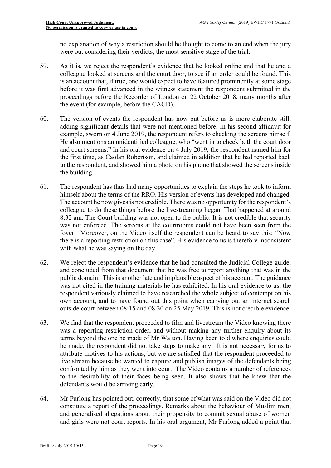were out considering their verdicts, the most sensitive stage of the trial. no explanation of why a restriction should be thought to come to an end when the jury

- 59. As it is, we reject the respondent's evidence that he looked online and that he and a colleague looked at screens and the court door, to see if an order could be found. This is an account that, if true, one would expect to have featured prominently at some stage before it was first advanced in the witness statement the respondent submitted in the proceedings before the Recorder of London on 22 October 2018, many months after the event (for example, before the CACD).
- to the respondent, and showed him a photo on his phone that showed the screens inside 60. The version of events the respondent has now put before us is more elaborate still, adding significant details that were not mentioned before. In his second affidavit for example, sworn on 4 June 2019, the respondent refers to checking the screens himself. He also mentions an unidentified colleague, who "went in to check both the court door and court screens." In his oral evidence on 4 July 2019, the respondent named him for the first time, as Caolan Robertson, and claimed in addition that he had reported back the building.
- there is a reporting restriction on this case". His evidence to us is therefore inconsistent 61. The respondent has thus had many opportunities to explain the steps he took to inform himself about the terms of the RRO. His version of events has developed and changed. The account he now gives is not credible. There was no opportunity for the respondent's colleague to do these things before the livestreaming began. That happened at around 8:32 am. The Court building was not open to the public. It is not credible that security was not enforced. The screens at the courtrooms could not have been seen from the foyer. Moreover, on the Video itself the respondent can be heard to say this: "Now with what he was saying on the day.
- own account, and to have found out this point when carrying out an internet search 62. We reject the respondent's evidence that he had consulted the Judicial College guide, and concluded from that document that he was free to report anything that was in the public domain. This is another late and implausible aspect of his account. The guidance was not cited in the training materials he has exhibited. In his oral evidence to us, the respondent variously claimed to have researched the whole subject of contempt on his outside court between 08:15 and 08:30 on 25 May 2019. This is not credible evidence.
- to the desirability of their faces being seen. It also shows that he knew that the 63. We find that the respondent proceeded to film and livestream the Video knowing there was a reporting restriction order, and without making any further enquiry about its terms beyond the one he made of Mr Walton. Having been told where enquiries could be made, the respondent did not take steps to make any. It is not necessary for us to attribute motives to his actions, but we are satisfied that the respondent proceeded to live stream because he wanted to capture and publish images of the defendants being confronted by him as they went into court. The Video contains a number of references defendants would be arriving early.
- constitute a report of the proceedings. Remarks about the behaviour of Muslim men, 64. Mr Furlong has pointed out, correctly, that some of what was said on the Video did not and generalised allegations about their propensity to commit sexual abuse of women and girls were not court reports. In his oral argument, Mr Furlong added a point that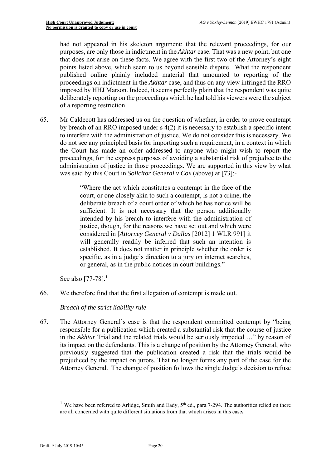had not appeared in his skeleton argument: that the relevant proceedings, for our that does not arise on these facts. We agree with the first two of the Attorney's eight deliberately reporting on the proceedings which he had told his viewers were the subject purposes, are only those in indictment in the *Akhtar* case. That was a new point, but one points listed above, which seem to us beyond sensible dispute. What the respondent published online plainly included material that amounted to reporting of the proceedings on indictment in the *Akhtar* case, and thus on any view infringed the RRO imposed by HHJ Marson. Indeed, it seems perfectly plain that the respondent was quite of a reporting restriction.

 proceedings, for the express purposes of avoiding a substantial risk of prejudice to the 65. Mr Caldecott has addressed us on the question of whether, in order to prove contempt by breach of an RRO imposed under s 4(2) it is necessary to establish a specific intent to interfere with the administration of justice. We do not consider this is necessary. We do not see any principled basis for importing such a requirement, in a context in which the Court has made an order addressed to anyone who might wish to report the administration of justice in those proceedings. We are supported in this view by what was said by this Court in *Solicitor General v Cox* (above) at [73]:-

> "Where the act which constitutes a contempt in the face of the court, or one closely akin to such a contempt, is not a crime, the deliberate breach of a court order of which he has notice will be sufficient. It is not necessary that the person additionally intended by his breach to interfere with the administration of justice, though, for the reasons we have set out and which were considered in [*Attorney General v Dallas* [2012] 1 WLR 991] it will generally readily be inferred that such an intention is established. It does not matter in principle whether the order is specific, as in a judge's direction to a jury on internet searches, or general, as in the public notices in court buildings."

See also [77-78].<sup>1</sup>

66. We therefore find that the first allegation of contempt is made out.

*Breach of the strict liability rule* 

 prejudiced by the impact on jurors. That no longer forms any part of the case for the 67. The Attorney General's case is that the respondent committed contempt by "being responsible for a publication which created a substantial risk that the course of justice in the *Akhtar* Trial and the related trials would be seriously impeded …" by reason of its impact on the defendants. This is a change of position by the Attorney General, who previously suggested that the publication created a risk that the trials would be Attorney General. The change of position follows the single Judge's decision to refuse

1

<sup>&</sup>lt;sup>1</sup> We have been referred to Arlidge, Smith and Eady,  $5<sup>th</sup>$  ed., para 7-294. The authorities relied on there are all concerned with quite different situations from that which arises in this case**.**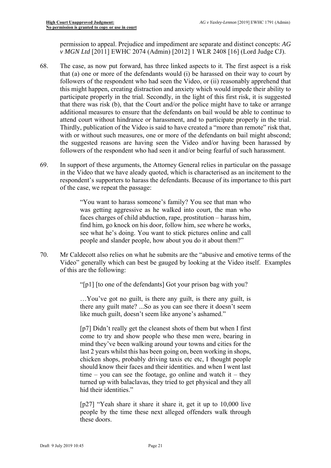permission to appeal. Prejudice and impediment are separate and distinct concepts: *AG v MGN Ltd* [2011] EWHC 2074 (Admin) [2012] 1 WLR 2408 [16] (Lord Judge CJ).

- 68. The case, as now put forward, has three linked aspects to it. The first aspect is a risk participate properly in the trial. Secondly, in the light of this first risk, it is suggested that there was risk (b), that the Court and/or the police might have to take or arrange that (a) one or more of the defendants would (i) be harassed on their way to court by followers of the respondent who had seen the Video, or (ii) reasonably apprehend that this might happen, creating distraction and anxiety which would impede their ability to additional measures to ensure that the defendants on bail would be able to continue to attend court without hindrance or harassment, and to participate properly in the trial. Thirdly, publication of the Video is said to have created a "more than remote" risk that, with or without such measures, one or more of the defendants on bail might abscond; the suggested reasons are having seen the Video and/or having been harassed by followers of the respondent who had seen it and/or being fearful of such harassment.
- 69. In support of these arguments, the Attorney General relies in particular on the passage in the Video that we have aleady quoted, which is characterised as an incitement to the respondent's supporters to harass the defendants. Because of its importance to this part of the case, we repeat the passage:

"You want to harass someone's family? You see that man who was getting aggressive as he walked into court, the man who faces charges of child abduction, rape, prostitution – harass him, find him, go knock on his door, follow him, see where he works, see what he's doing. You want to stick pictures online and call people and slander people, how about you do it about them?"

- Video" generally which can best be gauged by looking at the Video itself. Examples 70. Mr Caldecott also relies on what he submits are the "abusive and emotive terms of the of this are the following:
	- "[p1] [to one of the defendants] Got your prison bag with you?

…You've got no guilt, is there any guilt, is there any guilt, is there any guilt mate? ...So as you can see there it doesn't seem like much guilt, doesn't seem like anyone's ashamed."

[p7] Didn't really get the cleanest shots of them but when I first come to try and show people who these men were, bearing in mind they've been walking around your towns and cities for the last 2 years whilst this has been going on, been working in shops, chicken shops, probably driving taxis etc etc, I thought people should know their faces and their identities. and when I went last time – you can see the footage, go online and watch it – they turned up with balaclavas, they tried to get physical and they all hid their identities."

[p27] "Yeah share it share it share it, get it up to 10,000 live people by the time these next alleged offenders walk through these doors.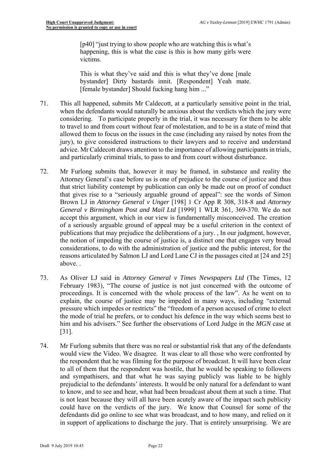[p40] "just trying to show people who are watching this is what's happening, this is what the case is this is how many girls were victims.

This is what they've said and this is what they've done [male bystander] Dirty bastards innit. [Respondent] Yeah mate. [female bystander] Should fucking hang him ..."

- 71. This all happened, submits Mr Caldecott, at a particularly sensitive point in the trial, considering. To participate properly in the trial, it was necessary for them to be able when the defendants would naturally be anxious about the verdicts which the jury were to travel to and from court without fear of molestation, and to be in a state of mind that allowed them to focus on the issues in the case (including any raised by notes from the jury), to give considered instructions to their lawyers and to receive and understand advice. Mr Caldecott draws attention to the importance of allowing participants in trials, and particularly criminal trials, to pass to and from court without disturbance.
- 72. Mr Furlong submits that, however it may be framed, in substance and reality the Attorney General's case before us is one of prejudice to the course of justice and thus that strict liability contempt by publication can only be made out on proof of conduct that gives rise to a "seriously arguable ground of appeal": see the words of Simon Brown LJ in *Attorney General v Unger* [198] 1 Cr App R 308, 318-8 and *Attorney General v Birmingham Post and Mail Ltd* [1999] 1 WLR 361, 369-370. We do not accept this argument, which in our view is fundamentally misconceived. The creation of a seriously arguable ground of appeal may be a useful criterion in the context of publications that may prejudice the deliberations of a jury. , In our judgment, however, the notion of impeding the course of justice is, a distinct one that engages very broad considerations, to do with the administration of justice and the public interest, for the reasons articulated by Salmon LJ and Lord Lane CJ in the passages cited at [24 and 25] above. .
- 73. As Oliver LJ said in *Attorney General v Times Newspapers Ltd* (The Times, 12 proceedings. It is concerned with the whole process of the law". As he went on to pressure which impedes or restricts" the "freedom of a person accused of crime to elect February 1983), "The course of justice is not just concerned with the outcome of explain, the course of justice may be impeded in many ways, including "external the mode of trial he prefers, or to conduct his defence in the way which seems best to him and his advisers." See further the observations of Lord Judge in the *MGN* case at [31].
- 74. Mr Furlong submits that there was no real or substantial risk that any of the defendants would view the Video. We disagree. It was clear to all those who were confronted by the respondent that he was filming for the purpose of broadcast. It will have been clear to all of them that the respondent was hostile, that he would be speaking to followers and sympathisers, and that what he was saying publicly was liable to be highly prejudicial to the defendants' interests. It would be only natural for a defendant to want to know, and to see and hear, what had been broadcast about them at such a time. That is not least because they will all have been acutely aware of the impact such publicity could have on the verdicts of the jury. We know that Counsel for some of the defendants did go online to see what was broadcast, and to how many, and relied on it in support of applications to discharge the jury. That is entirely unsurprising. We are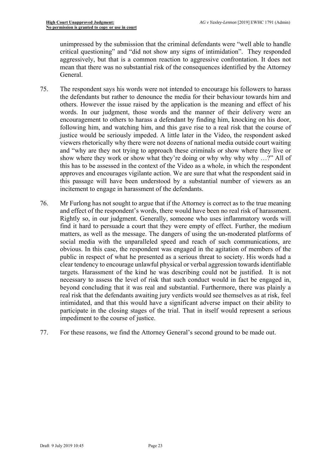unimpressed by the submission that the criminal defendants were "well able to handle critical questioning" and "did not show any signs of intimidation". They responded aggressively, but that is a common reaction to aggressive confrontation. It does not mean that there was no substantial risk of the consequences identified by the Attorney General.

- this has to be assessed in the context of the Video as a whole, in which the respondent this passage will have been understood by a substantial number of viewers as an 75. The respondent says his words were not intended to encourage his followers to harass the defendants but rather to denounce the media for their behaviour towards him and others. However the issue raised by the application is the meaning and effect of his words. In our judgment, those words and the manner of their delivery were an encouragement to others to harass a defendant by finding him, knocking on his door, following him, and watching him, and this gave rise to a real risk that the course of justice would be seriously impeded. A little later in the Video, the respondent asked viewers rhetorically why there were not dozens of national media outside court waiting and "why are they not trying to approach these criminals or show where they live or show where they work or show what they're doing or why why why why …?" All of approves and encourages vigilante action. We are sure that what the respondent said in incitement to engage in harassment of the defendants.
- 76. Mr Furlong has not sought to argue that if the Attorney is correct as to the true meaning social media with the unparalleled speed and reach of such communications, are real risk that the defendants awaiting jury verdicts would see themselves as at risk, feel and effect of the respondent's words, there would have been no real risk of harassment. Rightly so, in our judgment. Generally, someone who uses inflammatory words will find it hard to persuade a court that they were empty of effect. Further, the medium matters, as well as the message. The dangers of using the un-moderated platforms of obvious. In this case, the respondent was engaged in the agitation of members of the public in respect of what he presented as a serious threat to society. His words had a clear tendency to encourage unlawful physical or verbal aggression towards identifiable targets. Harassment of the kind he was describing could not be justified. It is not necessary to assess the level of risk that such conduct would in fact be engaged in, beyond concluding that it was real and substantial. Furthermore, there was plainly a intimidated, and that this would have a significant adverse impact on their ability to participate in the closing stages of the trial. That in itself would represent a serious impediment to the course of justice.
- 77. For these reasons, we find the Attorney General's second ground to be made out.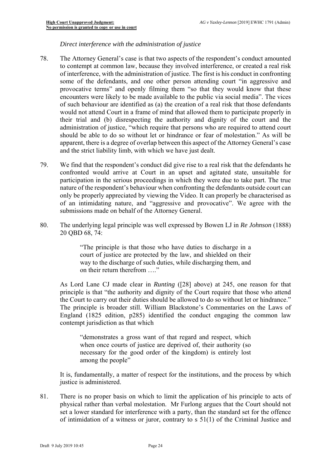# *Direct interference with the administration of justice*

- to contempt at common law, because they involved interference, or created a real risk 78. The Attorney General's case is that two aspects of the respondent's conduct amounted of interference, with the administration of justice. The first is his conduct in confronting some of the defendants, and one other person attending court "in aggressive and provocative terms" and openly filming them "so that they would know that these encounters were likely to be made available to the public via social media". The vices of such behaviour are identified as (a) the creation of a real risk that those defendants would not attend Court in a frame of mind that allowed them to participate properly in their trial and (b) disrespecting the authority and dignity of the court and the administration of justice, "which require that persons who are required to attend court should be able to do so without let or hindrance or fear of molestation." As will be apparent, there is a degree of overlap between this aspect of the Attorney General's case and the strict liability limb, with which we have just dealt.
- confronted would arrive at Court in an upset and agitated state, unsuitable for of an intimidating nature, and "aggressive and provocative". We agree with the 79. We find that the respondent's conduct did give rise to a real risk that the defendants he participation in the serious proceedings in which they were due to take part. The true nature of the respondent's behaviour when confronting the defendants outside court can only be properly appreciated by viewing the Video. It can properly be characterised as submissions made on behalf of the Attorney General.
- 80. The underlying legal principle was well expressed by Bowen LJ in *Re Johnson* (1888) 20 QBD 68, 74:

"The principle is that those who have duties to discharge in a court of justice are protected by the law, and shielded on their way to the discharge of such duties, while discharging them, and on their return therefrom …."

 the Court to carry out their duties should be allowed to do so without let or hindrance." The principle is broader still. William Blackstone's Commentaries on the Laws of As Lord Lane CJ made clear in *Runting* ([28] above) at 245, one reason for that principle is that "the authority and dignity of the Court require that those who attend England (1825 edition, p285) identified the conduct engaging the common law contempt jurisdiction as that which

 "demonstrates a gross want of that regard and respect, which when once courts of justice are deprived of, their authority (so necessary for the good order of the kingdom) is entirely lost among the people"

It is, fundamentally, a matter of respect for the institutions, and the process by which justice is administered.

 set a lower standard for interference with a party, than the standard set for the offence 81. There is no proper basis on which to limit the application of his principle to acts of physical rather than verbal molestation. Mr Furlong argues that the Court should not of intimidation of a witness or juror, contrary to s 51(1) of the Criminal Justice and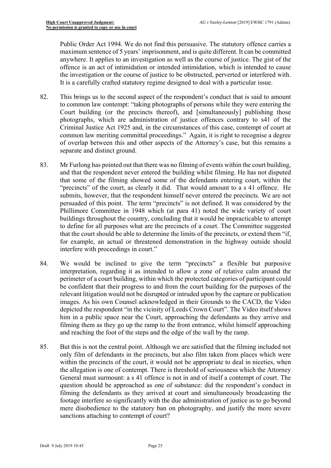Public Order Act 1994. We do not find this persuasive. The statutory offence carries a maximum sentence of 5 years' imprisonment, and is quite different. It can be committed anywhere. It applies to an investigation as well as the course of justice. The gist of the offence is an act of intimidation or intended intimidation, which is intended to cause the investigation or the course of justice to be obstructed, perverted or interfered with. It is a carefully crafted statutory regime designed to deal with a particular issue.

- common law meriting committal proceedings." Again, it is right to recognise a degree 82. This brings us to the second aspect of the respondent's conduct that is said to amount to common law contempt: "taking photographs of persons while they were entering the Court building (or the precincts thereof), and [simultaneously] publishing those photographs, which are administration of justice offences contrary to s41 of the Criminal Justice Act 1925 and, in the circumstances of this case, contempt of court at of overlap between this and other aspects of the Attorney's case, but this remains a separate and distinct ground.
- "precincts" of the court, as clearly it did. That would amount to a s 41 offence. He submits, however, that the respondent himself never entered the precincts. We are not persuaded of this point. The term "precincts" is not defined. It was considered by the 83. Mr Furlong has pointed out that there was no filming of events within the court building, and that the respondent never entered the building whilst filming. He has not disputed that some of the filming showed some of the defendants entering court, within the Phillimore Committee in 1948 which (at para 41) noted the wide variety of court buildings throughout the country, concluding that it would be impracticable to attempt to define for all purposes what are the precincts of a court. The Committee suggested that the court should be able to determine the limits of the precincts, or extend them "if, for example, an actual or threatened demonstration in the highway outside should interfere with proceedings in court."
- interpretation, regarding it as intended to allow a zone of relative calm around the be confident that their progress to and from the court building for the purposes of the him in a public space near the Court, approaching the defendants as they arrive and 84. We would be inclined to give the term "precincts" a flexible but purposive perimeter of a court building, within which the protected categories of participant could relevant litigation would not be disrupted or intruded upon by the capture or publication images. As his own Counsel acknowledged in their Grounds to the CACD, the Video depicted the respondent "in the vicinity of Leeds Crown Court". The Video itself shows filming them as they go up the ramp to the front entrance, whilst himself approaching and reaching the foot of the steps and the edge of the wall by the ramp.
- only film of defendants in the precincts, but also film taken from places which were 85. But this is not the central point. Although we are satisfied that the filming included not within the precincts of the court, it would not be appropriate to deal in niceties, when the allegation is one of contempt. There is threshold of seriousness which the Attorney General must surmount: a s 41 offence is not in and of itself a contempt of court. The question should be approached as one of substance: did the respondent's conduct in filming the defendants as they arrived at court and simultaneously broadcasting the footage interfere so significantly with the due administration of justice as to go beyond mere disobedience to the statutory ban on photography, and justify the more severe sanctions attaching to contempt of court?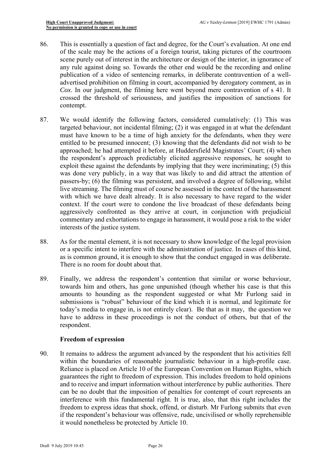- of the scale may be the actions of a foreign tourist, taking pictures of the courtroom 86. This is essentially a question of fact and degree, for the Court's evaluation. At one end scene purely out of interest in the architecture or design of the interior, in ignorance of any rule against doing so. Towards the other end would be the recording and online publication of a video of sentencing remarks, in deliberate contravention of a welladvertised prohibition on filming in court, accompanied by derogatory comment, as in *Cox*. In our judgment, the filming here went beyond mere contravention of s 41. It crossed the threshold of seriousness, and justifies the imposition of sanctions for contempt.
- 87. We would identify the following factors, considered cumulatively: (1) This was targeted behaviour, not incidental filming; (2) it was engaged in at what the defendant must have known to be a time of high anxiety for the defendants, when they were entitled to be presumed innocent; (3) knowing that the defendants did not wish to be approached; he had attempted it before, at Huddersfield Magistrates' Court; (4) when the respondent's approach predictably elicited aggressive responses, he sought to exploit these against the defendants by implying that they were incriminating; (5) this was done very publicly, in a way that was likely to and did attract the attention of passers-by; (6) the filming was persistent, and involved a degree of following, whilst live streaming. The filming must of course be assessed in the context of the harassment with which we have dealt already. It is also necessary to have regard to the wider context. If the court were to condone the live broadcast of these defendants being aggressively confronted as they arrive at court, in conjunction with prejudicial commentary and exhortations to engage in harassment, it would pose a risk to the wider interests of the justice system.
- or a specific intent to interfere with the administration of justice. In cases of this kind, 88. As for the mental element, it is not necessary to show knowledge of the legal provision as is common ground, it is enough to show that the conduct engaged in was deliberate. There is no room for doubt about that.
- towards him and others, has gone unpunished (though whether his case is that this today's media to engage in, is not entirely clear). Be that as it may, the question we have to address in these proceedings is not the conduct of others, but that of the 89. Finally, we address the respondent's contention that similar or worse behaviour, amounts to hounding as the respondent suggested or what Mr Furlong said in submissions is "robust" behaviour of the kind which it is normal, and legitimate for respondent.

# **Freedom of expression**

90. It remains to address the argument advanced by the respondent that his activities fell within the boundaries of reasonable journalistic behaviour in a high-profile case. Reliance is placed on Article 10 of the European Convention on Human Rights, which guarantees the right to freedom of expression. This includes freedom to hold opinions and to receive and impart information without interference by public authorities. There can be no doubt that the imposition of penalties for contempt of court represents an interference with this fundamental right. It is true, also, that this right includes the freedom to express ideas that shock, offend, or disturb. Mr Furlong submits that even if the respondent's behaviour was offensive, rude, uncivilised or wholly reprehensible it would nonetheless be protected by Article 10.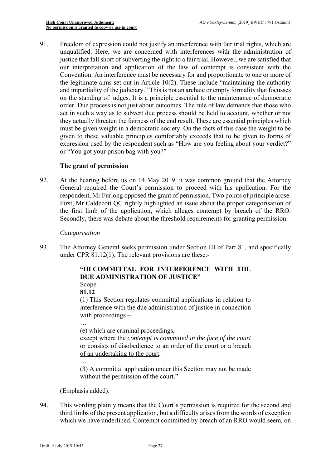unqualified. Here, we are concerned with interferences with the administration of and impartiality of the judiciary." This is not an archaic or empty formality that focusses 91. Freedom of expression could not justify an interference with fair trial rights, which are justice that fall short of subverting the right to a fair trial. However, we are satisfied that our interpretation and application of the law of contempt is consistent with the Convention. An interference must be necessary for and proportionate to one or more of the legitimate aims set out in Article 10(2). These include "maintaining the authority on the standing of judges. It is a principle essential to the maintenance of democratic order. Due process is not just about outcomes. The rule of law demands that those who act in such a way as to subvert due process should be held to account, whether or not they actually threaten the fairness of the end result. These are essential principles which must be given weight in a democratic society. On the facts of this case the weight to be given to these valuable principles comfortably exceeds that to be given to forms of expression used by the respondent such as "How are you feeling about your verdict?" or "You got your prison bag with you?"

# **The grant of permission**

92. At the hearing before us on 14 May 2019, it was common ground that the Attorney General required the Court's permission to proceed with his application. For the respondent, Mr Furlong opposed the grant of permission. Two points of principle arose. First, Mr Caldecott QC rightly highlighted an issue about the proper categorisation of the first limb of the application, which alleges contempt by breach of the RRO. Secondly, there was debate about the threshold requirements for granting permission.

#### *Categorisation*

93. The Attorney General seeks permission under Section III of Part 81, and specifically under CPR 81.12(1). The relevant provisions are these:-

# **"III COMMITTAL FOR INTERFERENCE WITH THE DUE ADMINISTRATION OF JUSTICE"**

Scope

**81.12** 

(1) This Section regulates committal applications in relation to interference with the due administration of justice in connection with proceedings –

…

(e) which are criminal proceedings, except where the *contempt is committed in the face of the court*  or consists of disobedience to an order of the court or a breach of an undertaking to the court.

… (3) A committal application under this Section may not be made without the permission of the court."

(Emphasis added).

 third limbs of the present application, but a difficulty arises from the words of exception 94. This wording plainly means that the Court's permission is required for the second and which we have underlined. Contempt committed by breach of an RRO would seem, on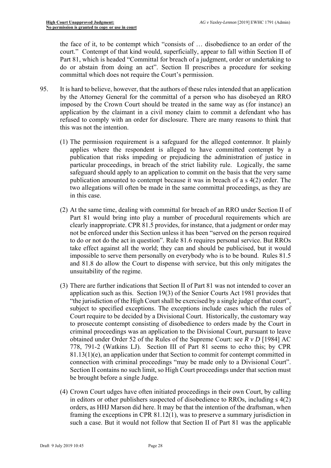the face of it, to be contempt which "consists of … disobedience to an order of the court." Contempt of that kind would, superficially, appear to fall within Section II of Part 81, which is headed "Committal for breach of a judgment, order or undertaking to do or abstain from doing an act". Section II prescribes a procedure for seeking committal which does not require the Court's permission.

- by the Attorney General for the committal of a person who has disobeyed an RRO 95. It is hard to believe, however, that the authors of these rules intended that an application imposed by the Crown Court should be treated in the same way as (for instance) an application by the claimant in a civil money claim to commit a defendant who has refused to comply with an order for disclosure. There are many reasons to think that this was not the intention.
	- applies where the respondent is alleged to have committed contempt by a particular proceedings, in breach of the strict liability rule. Logically, the same (1) The permission requirement is a safeguard for the alleged contemnor. It plainly publication that risks impeding or prejudicing the administration of justice in safeguard should apply to an application to commit on the basis that the very same publication amounted to contempt because it was in breach of a s 4(2) order. The two allegations will often be made in the same committal proceedings, as they are in this case.
	- (2) At the same time, dealing with committal for breach of an RRO under Section II of Part 81 would bring into play a number of procedural requirements which are clearly inappropriate. CPR 81.5 provides, for instance, that a judgment or order may not be enforced under this Section unless it has been "served on the person required to do or not do the act in question". Rule 81.6 requires personal service. But RROs take effect against all the world; they can and should be publicised, but it would impossible to serve them personally on everybody who is to be bound. Rules 81.5 and 81.8 do allow the Court to dispense with service, but this only mitigates the unsuitability of the regime.
	- (3) There are further indications that Section II of Part 81 was not intended to cover an application such as this. Section 19(3) of the Senior Courts Act 1981 provides that "the jurisdiction of the High Court shall be exercised by a single judge of that court", subject to specified exceptions. The exceptions include cases which the rules of Court require to be decided by a Divisional Court. Historically, the customary way to prosecute contempt consisting of disobedience to orders made by the Court in criminal proceedings was an application to the Divisional Court, pursuant to leave obtained under Order 52 of the Rules of the Supreme Court: see *R v D* [1984] AC 778, 791-2 (Watkins LJ). Section III of Part 81 seems to echo this; by CPR  $81.13(1)(e)$ , an application under that Section to commit for contempt committed in connection with criminal proceedings "may be made only to a Divisional Court". Section II contains no such limit, so High Court proceedings under that section must be brought before a single Judge.
	- (4) Crown Court udges have often initiated proceedings in their own Court, by calling in editors or other publishers suspected of disobedience to RROs, including s 4(2) orders, as HHJ Marson did here. It may be that the intention of the draftsman, when framing the exceptions in CPR 81.12(1), was to preserve a summary jurisdiction in such a case. But it would not follow that Section II of Part 81 was the applicable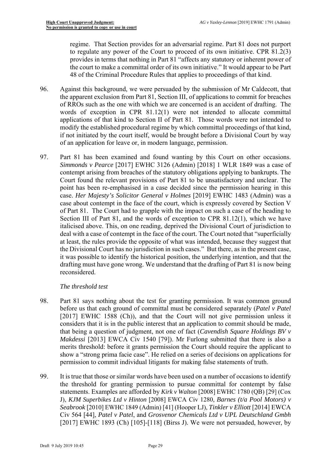regime. That Section provides for an adversarial regime. Part 81 does not purport to regulate any power of the Court to proceed of its own initiative. CPR 81.2(3) provides in terms that nothing in Part 81 "affects any statutory or inherent power of the court to make a committal order of its own initiative." It would appear to be Part 48 of the Criminal Procedure Rules that applies to proceedings of that kind.

- 96. Against this background, we were persuaded by the submission of Mr Caldecott, that of RROs such as the one with which we are concerned is an accident of drafting. The applications of that kind to Section II of Part 81. Those words were not intended to of an application for leave or, in modern language, permission. the apparent exclusion from Part 81, Section III, of applications to commit for breaches words of exception in CPR 81.12(1) were not intended to allocate committal modify the established procedural regime by which committal proceedings of that kind, if not initiated by the court itself, would be brought before a Divisional Court by way
- it was possible to identify the historical position, the underlying intention, and that the 97. Part 81 has been examined and found wanting by this Court on other occasions. *Simmonds v Pearce* [2017] EWHC 3126 (Admin) [2018] 1 WLR 1849 was a case of contempt arising from breaches of the statutory obligations applying to bankrupts. The Court found the relevant provisions of Part 81 to be unsatisfactory and unclear. The point has been re-emphasised in a case decided since the permission hearing in this case. *Her Majesty's Solicitor General v Holmes* [2019] EWHC 1483 (Admin) was a case about contempt in the face of the court, which is expressly covered by Section V of Part 81. The Court had to grapple with the impact on such a case of the heading to Section III of Part 81, and the words of exception to CPR 81.12(1), which we have italicised above. This, on one reading, deprived the Divisional Court of jurisdiction to deal with a case of contempt in the face of the court. The Court noted that "superficially at least, the rules provide the opposite of what was intended, because they suggest that the Divisional Court has no jurisdiction in such cases." But there, as in the present case, drafting must have gone wrong. We understand that the drafting of Part 81 is now being reconsidered.

# *The threshold test*

- considers that it is in the public interest that an application to commit should be made, 98. Part 81 says nothing about the test for granting permission. It was common ground before us that each ground of committal must be considered separately (*Patel v Patel*  [2017] EWHC 1588 (Ch)), and that the Court will not give permission unless it that being a question of judgment, not one of fact (*Cavendish Square Holdings BV v Makdessi* [2013] EWCA Civ 1540 [79]). Mr Furlong submitted that there is also a merits threshold: before it grants permission the Court should require the applicant to show a "strong prima facie case". He relied on a series of decisions on applications for permission to commit individual litigants for making false statements of truth.
- statements. Examples are afforded by *Kirk v Walton* [2008] EWHC 1780 (QB) [29] (Cox 99. It is true that those or similar words have been used on a number of occasions to identify the threshold for granting permission to pursue committal for contempt by false J), *KJM Superbikes Ltd v Hinton* [2008] EWCA Civ 1280, *Barnes (t/a Pool Motors) v Seabrook* [2010] EWHC 1849 (Admin) [41] (Hooper LJ), *Tinkler v Elliott* [2014] EWCA Civ 564 [44], *Patel v Patel*, and *Grosvenor Chemicals Ltd v UPL Deutschland Gmbh*  [2017] EWHC 1893 (Ch) [105]-[118] (Birss J). We were not persuaded, however, by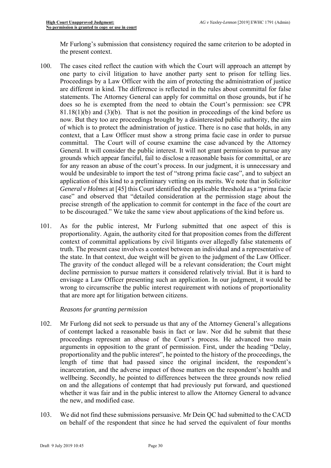Mr Furlong's submission that consistency required the same criterion to be adopted in the present context.

- statements. The Attorney General can apply for committal on those grounds, but if he grounds which appear fanciful, fail to disclose a reasonable basis for committal, or are 100. The cases cited reflect the caution with which the Court will approach an attempt by one party to civil litigation to have another party sent to prison for telling lies. Proceedings by a Law Officer with the aim of protecting the administration of justice are different in kind. The difference is reflected in the rules about committal for false does so he is exempted from the need to obtain the Court's permission: see CPR  $81.18(1)(b)$  and  $(3)(b)$ . That is not the position in proceedings of the kind before us now. But they too are proceedings brought by a disinterested public authority, the aim of which is to protect the administration of justice. There is no case that holds, in any context, that a Law Officer must show a strong prima facie case in order to pursue committal. The Court will of course examine the case advanced by the Attorney General. It will consider the public interest. It will not grant permission to pursue any for any reason an abuse of the court's process. In our judgment, it is unnecessary and would be undesirable to import the test of "strong prima facie case", and to subject an application of this kind to a preliminary vetting on its merits. We note that in *Solicitor General v Holmes* at [45] this Court identified the applicable threshold as a "prima facie case" and observed that "detailed consideration at the permission stage about the precise strength of the application to commit for contempt in the face of the court are to be discouraged." We take the same view about applications of the kind before us.
- The gravity of the conduct alleged will be a relevant consideration; the Court might 101. As for the public interest, Mr Furlong submitted that one aspect of this is proportionality. Again, the authority cited for that proposition comes from the different context of committal applications by civil litigants over allegedly false statements of truth. The present case involves a contest between an individual and a representative of the state. In that context, due weight will be given to the judgment of the Law Officer. decline permission to pursue matters it considered relatively trivial. But it is hard to envisage a Law Officer presenting such an application. In our judgment, it would be wrong to circumscribe the public interest requirement with notions of proportionality that are more apt for litigation between citizens.

# *Reasons for granting permission*

- 102. Mr Furlong did not seek to persuade us that any of the Attorney General's allegations of contempt lacked a reasonable basis in fact or law. Nor did he submit that these proceedings represent an abuse of the Court's process. He advanced two main arguments in opposition to the grant of permission. First, under the heading "Delay, proportionality and the public interest", he pointed to the history of the proceedings, the length of time that had passed since the original incident, the respondent's incarceration, and the adverse impact of those matters on the respondent's health and wellbeing. Secondly, he pointed to differences between the three grounds now relied on and the allegations of contempt that had previously put forward, and questioned whether it was fair and in the public interest to allow the Attorney General to advance the new, and modified case.
- 103. We did not find these submissions persuasive. Mr Dein QC had submitted to the CACD on behalf of the respondent that since he had served the equivalent of four months